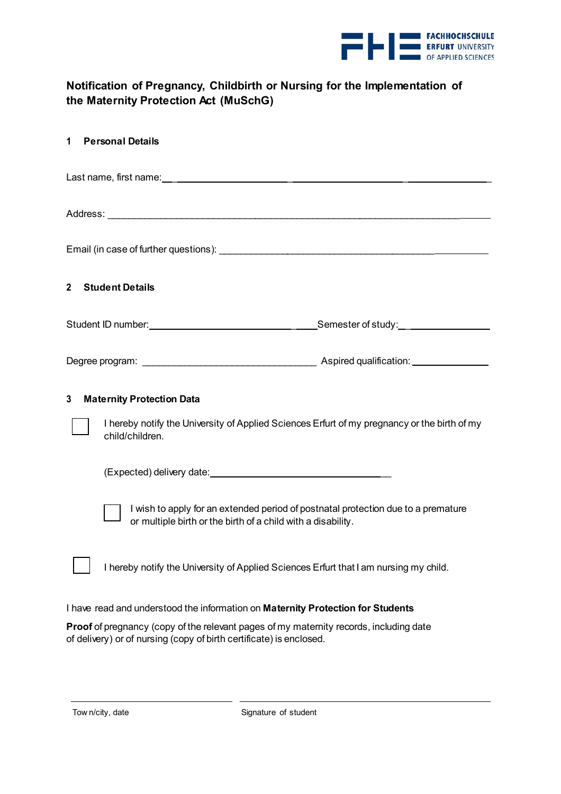

## **Notification of Pregnancy, Childbirth or Nursing for the Implementation of the Maternity Protection Act (MuSchG)**

| 1                                                                                                                                                                    | <b>Personal Details</b>                                                                                                                           |  |  |  |  |
|----------------------------------------------------------------------------------------------------------------------------------------------------------------------|---------------------------------------------------------------------------------------------------------------------------------------------------|--|--|--|--|
|                                                                                                                                                                      |                                                                                                                                                   |  |  |  |  |
|                                                                                                                                                                      |                                                                                                                                                   |  |  |  |  |
|                                                                                                                                                                      |                                                                                                                                                   |  |  |  |  |
| $\overline{\mathbf{2}}$                                                                                                                                              | <b>Student Details</b>                                                                                                                            |  |  |  |  |
|                                                                                                                                                                      |                                                                                                                                                   |  |  |  |  |
|                                                                                                                                                                      |                                                                                                                                                   |  |  |  |  |
| <b>Maternity Protection Data</b><br>3<br>I hereby notify the University of Applied Sciences Erfurt of my pregnancy or the birth of my                                |                                                                                                                                                   |  |  |  |  |
|                                                                                                                                                                      | child/children.                                                                                                                                   |  |  |  |  |
|                                                                                                                                                                      |                                                                                                                                                   |  |  |  |  |
|                                                                                                                                                                      | I wish to apply for an extended period of postnatal protection due to a premature<br>or multiple birth or the birth of a child with a disability. |  |  |  |  |
|                                                                                                                                                                      | I hereby notify the University of Applied Sciences Erfurt that I am nursing my child.                                                             |  |  |  |  |
| I have read and understood the information on Maternity Protection for Students                                                                                      |                                                                                                                                                   |  |  |  |  |
| <b>Proof</b> of pregnancy (copy of the relevant pages of my maternity records, including date<br>of delivery) or of nursing (copy of birth certificate) is enclosed. |                                                                                                                                                   |  |  |  |  |